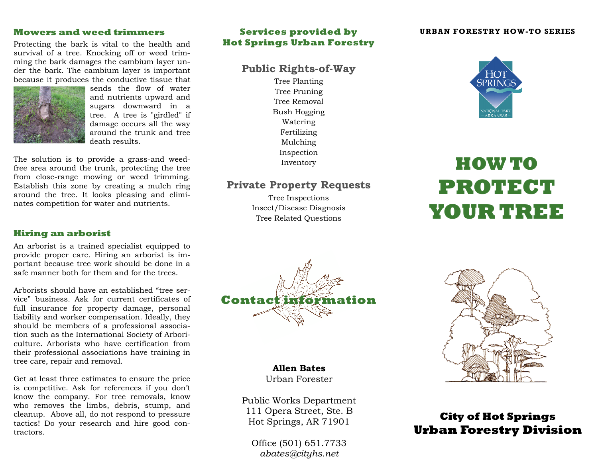## **Mowers and weed trimmers**

Protecting the bark is vital to the health and survival of a tree. Knocking off or weed trimming the bark damages the cambium layer under the bark. The cambium layer is important because it produces the conductive tissue that



sends the flow of water and nutrients upward and sugars downward in a tree. A tree is "girdled" if damage occurs all the way around the trunk and tree death results.

The solution is to provide a grass-and weedfree area around the trunk, protecting the tree from close-range mowing or weed trimming. Establish this zone by creating a mulch ring around the tree. It looks pleasing and eliminates competition for water and nutrients.

# **Hiring an arborist**

An arborist is a trained specialist equipped to provide proper care. Hiring an arborist is important because tree work should be done in a safe manner both for them and for the trees.

Arborists should have an established "tree service" business. Ask for current certificates of full insurance for property damage, personal liability and worker compensation. Ideally, they should be members of a professional association such as the International Society of Arboriculture. Arborists who have certification from their professional associations have training in tree care, repair and removal.

Get at least three estimates to ensure the price is competitive. Ask for references if you don't know the company. For tree removals, know who removes the limbs, debris, stump, and cleanup. Above all, do not respond to pressure tactics! Do your research and hire good contractors.

# **Services provided by Hot Springs Urban Forestry**

# **Public Rights-of-Way**

Tree Planting Tree Pruning Tree Removal Bush Hogging Watering Fertilizing Mulching Inspection Inventory

# **Private Property Requests**

Tree Inspections Insect/Disease Diagnosis Tree Related Questions

#### **URBAN FORESTRY HOW-TO SERIES**



# **HOW TO PROTECT YOUR TREE**



## **Allen Bates**Urban Forester

Public Works Department 111 Opera Street, Ste. B Hot Springs, AR 71901

Office (501) 651.7733 *abates@cityhs.net* 



# **City of Hot Springs Urban Forestry Division**